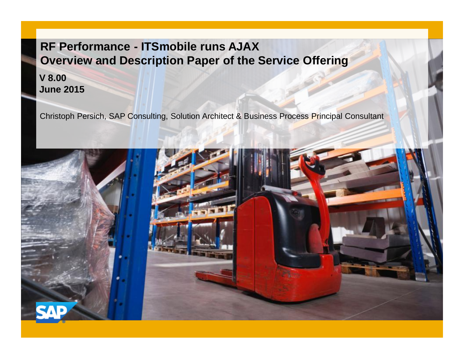### **RF Performance - ITSmobile runs AJAX Overview and Description Paper of the Service Offering**

**V 8.00 June 2015**

Christoph Persich, SAP Consulting, Solution Architect & Business Process Principal Consultant

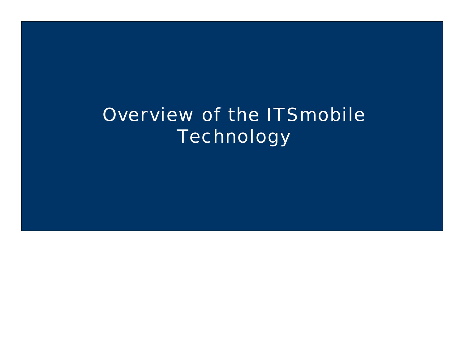# Overview of the ITSmobile **Technology**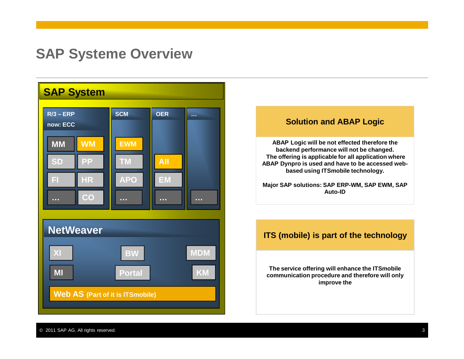## **SAP Systeme Overview**





**The service offering will enhance the ITSmobile communication procedure and therefore will only improve the**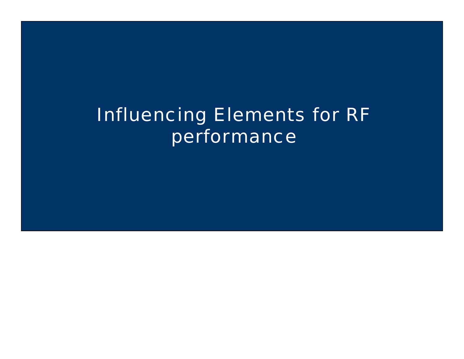# Influencing Elements for RF performance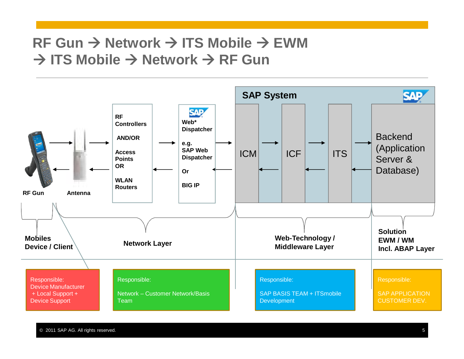# $RF$  Gun  $\rightarrow$  Network  $\rightarrow$  **ITS Mobile**  $\rightarrow$  EWM  $\rightarrow$  **ITS Mobile** → Network → RF Gun

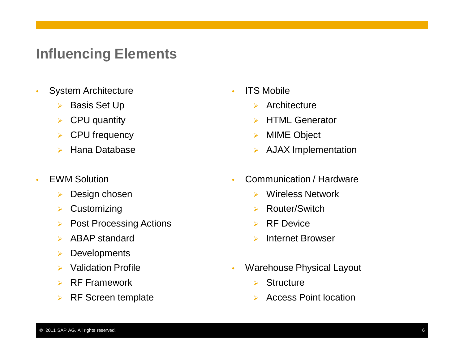# **Influencing Elements**

- System Architecture
	- ▶ Basis Set Up
	- $\triangleright$  CPU quantity
	- ▶ CPU frequency
	- ¾ Hana Database
- EWM Solution
	- ¾ Design chosen
	- $\triangleright$  Customizing
	- **▶ Post Processing Actions**
	- $\triangleright$  ABAP standard
	- ¾ Developments
	- $\triangleright$  Validation Profile
	- $\triangleright$  RF Framework
	- $\triangleright$  RF Screen template
- ITS Mobile
	- $\triangleright$  Architecture
	- ¾ HTML Generator
	- ¾ MIME Object
	- ¾ AJAX Implementation
- Communication / Hardware
	- $\triangleright$  Wireless Network
	- ¾ Router/Switch
	- $\triangleright$  RF Device
	- ¾ Internet Browser
- Warehouse Physical Layout
	- $\triangleright$  Structure
	- ¾ Access Point location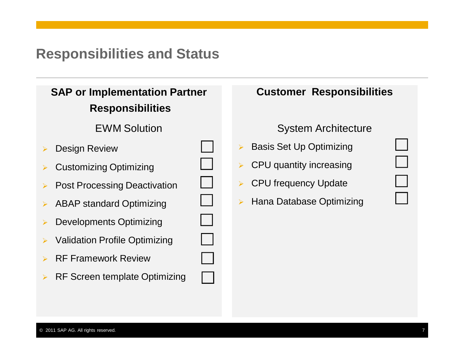# **Responsibilities and Status**

### **SAP or Implementation Partner Responsibilities**

### **EWM Solution**

- **Design Review**
- $\triangleright$  Customizing Optimizing
- ▶ Post Processing Deactivation
- $\triangleright$  ABAP standard Optimizing
- Developments Optimizing
- **Validation Profile Optimizing**
- **RF Framework Review**
- ▶ RF Screen template Optimizing

| <b>Customer Responsibilities</b> |  |
|----------------------------------|--|
|                                  |  |
|                                  |  |
| <b>System Architecture</b>       |  |
| > Basis Set Up Optimizing        |  |
| > CPU quantity increasing        |  |
| > CPU frequency Update           |  |
| > Hana Database Optimizing       |  |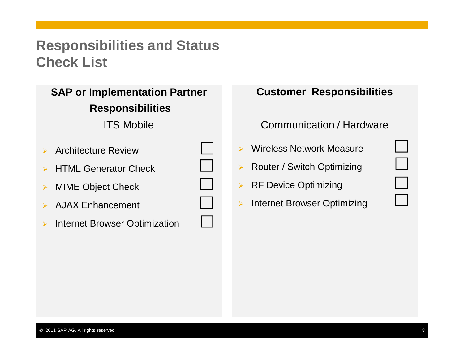# **Responsibilities and Status Check List**

| <b>SAP or Implementation Partner</b> |
|--------------------------------------|
| <b>Responsibilities</b>              |

**ITS Mobile** 

- $\triangleright$  Architecture Review
- $\triangleright$  HTML Generator Check
- ¾ MIME Object Check
- $\triangleright$  AJAX Enhancement
- ¾ Internet Browser Optimization

|                       | <b>Customer Responsibilities</b>      |  |
|-----------------------|---------------------------------------|--|
|                       | Communication / Hardware              |  |
|                       | Wireless Network Measure              |  |
| $\blacktriangleright$ | Router / Switch Optimizing            |  |
|                       | $\triangleright$ RF Device Optimizing |  |
| $\blacktriangleright$ | Internet Browser Optimizing           |  |
|                       |                                       |  |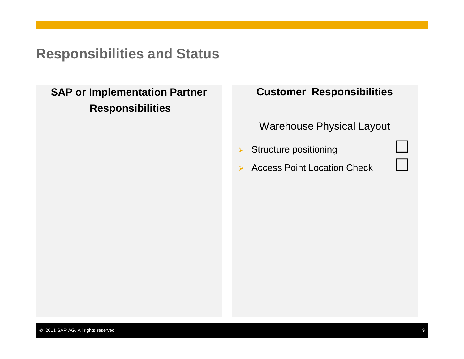# **Responsibilities and Status**

### **SAP or Implementation Partner Responsibilities**

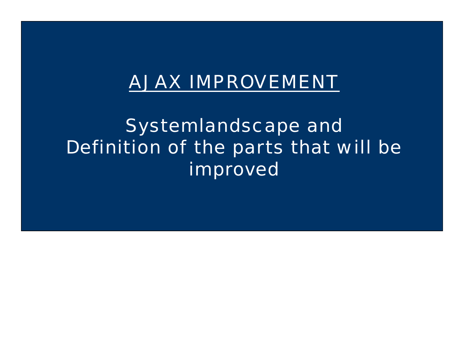# AJAX IMPROVEMENT

Systemlandscape and Definition of the parts that will be improved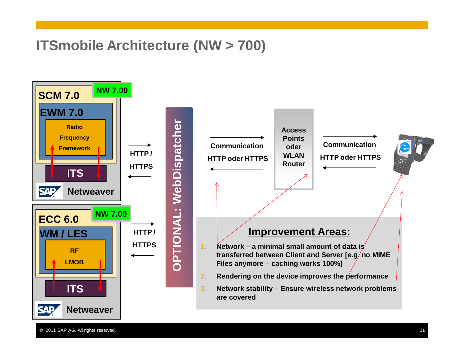# **ITSmobile Architecture (NW > 700)**



© 2011 SAP AG. All rights reserved. 11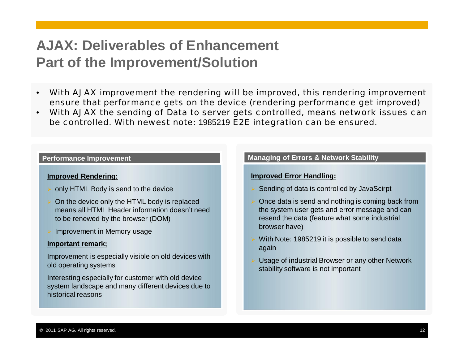# **AJAX: Deliverables of Enhancement Part of the Improvement/Solution**

- With AJAX improvement the rendering will be improved, this rendering improvement ensure that performance gets on the device (rendering performance get improved)
- With AJAX the sending of Data to server gets controlled, means network issues can be controlled. With newest note: 1985219 E2E integration can be ensured.

#### **Improved Rendering:**

- ¾ only HTML Body is send to the device
- On the device only the HTML body is replaced means all HTML Header information doesn't need to be renewed by the browser (DOM)
- Improvement in Memory usage

#### **Important remark;**

Improvement is especially visible on old devices with old operating systems

Interesting especially for customer with old device system landscape and many different devices due to historical reasons

#### **Performance Improvement Managing of Errors & Network Stability**

#### **Improved Error Handling:**

- Sending of data is controlled by JavaScirpt
- Once data is send and nothing is coming back from the system user gets and error message and can resend the data (feature what some industrial browser have)
- With Note: 1985219 it is possible to send data again
- Usage of industrial Browser or any other Network stability software is not important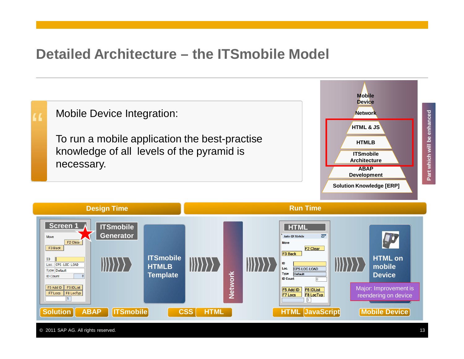# **Detailed Architecture – the ITSmobile Model**



© 2011 SAP AG. All rights reserved. 13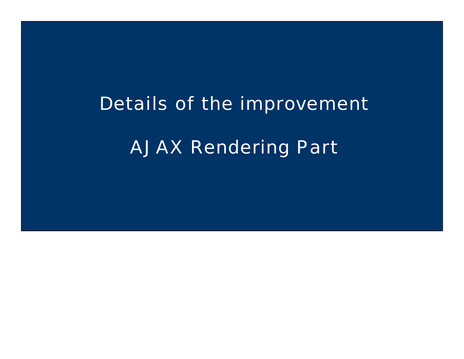# Details of the improvement AJAX Rendering Part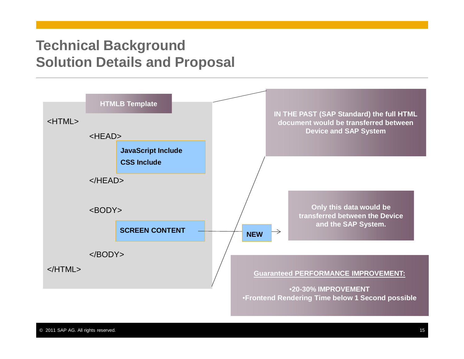# **Technical Background Solution Details and Proposal**

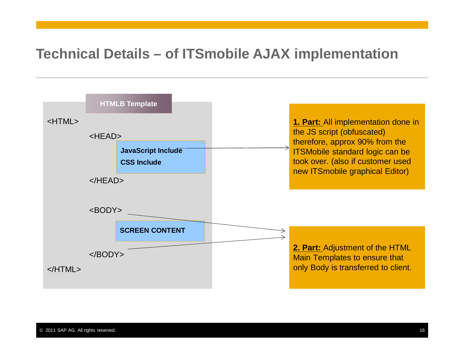# **Technical Details – of ITSmobile AJAX implementation**

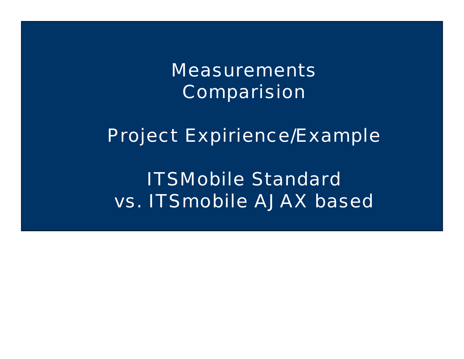**Measurements** Comparision

Project Expirience/Example

ITSMobile Standard vs. ITSmobile AJAX based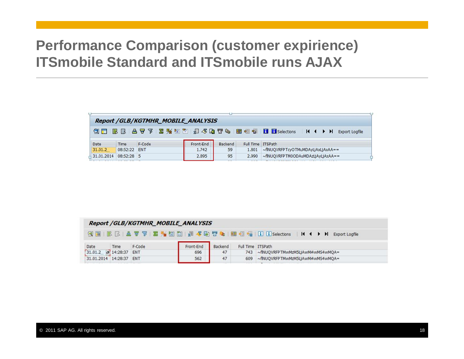# **Performance Comparison (customer expirience) ITSmobile Standard and ITSmobile runs AJAX**

|                 |              | <b>Report /GLB/KGTMHR_MOBILE_ANALYSIS</b> |           |         |                   |                                                                                 |
|-----------------|--------------|-------------------------------------------|-----------|---------|-------------------|---------------------------------------------------------------------------------|
|                 |              |                                           |           |         |                   | ③ Ⅲ B B A 7 F Z % 2 H A 3 G T + B B H H H H H H H H H H H H H + H Export Logfie |
|                 |              |                                           |           |         |                   |                                                                                 |
|                 | Time         | F-Code                                    | Front-End | Backend | Full Time ITSPath |                                                                                 |
| Date<br>31.01.2 | 08:52:22 ENT |                                           | 1.742     | 59      |                   | 1.801 ~ fINUQVRFPTcyOTMuMDAyLjAxLjAxAA ==                                       |

|      |                                 | Report / GLB/KGTMHR_MOBILE_ANALYSIS |           |         |                   |                                       |
|------|---------------------------------|-------------------------------------|-----------|---------|-------------------|---------------------------------------|
|      |                                 |                                     |           |         |                   |                                       |
|      |                                 |                                     |           |         |                   |                                       |
| Date | Time                            | F-Code                              | Front-End | Backend | Full Time ITSPath |                                       |
|      | $31.01.2$ $\sigma$ 14:28:37 ENT |                                     | 696       | 47      |                   | 743 ~flNUQVRFPTMwMzM5LjAwMi4wMS4wMQA= |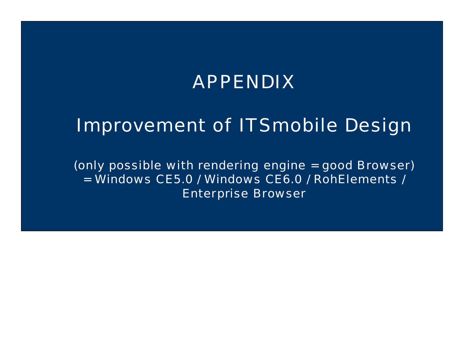# APPENDIX

# Improvement of ITSmobile Design

(only possible with rendering engine = good Browser) = Windows CE5.0 / Windows CE6.0 / RohElements / Enterprise Browser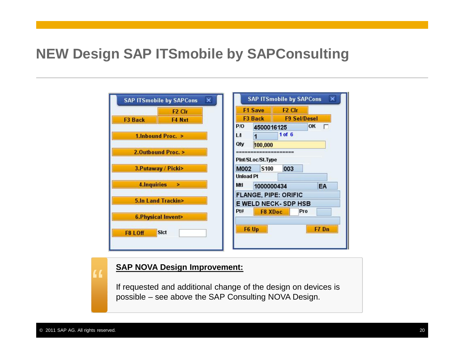# **NEW Design SAP ITSmobile by SAPConsulting**



#### **SAP NOVA Design Improvement:**

If requested and additional change of the design on devices is possible – see above the SAP Consulting NOVA Design.

"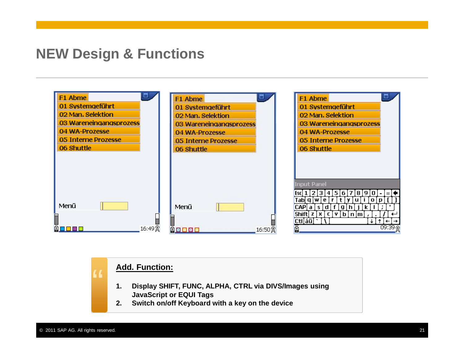## **NEW Design & Functions**



#### **Add. Function:**

- **1. Display SHIFT, FUNC, ALPHA, CTRL via DIVS/Images using JavaScript or EQUI Tags**
- **2. Switch on/off Keyboard with a key on the device**

"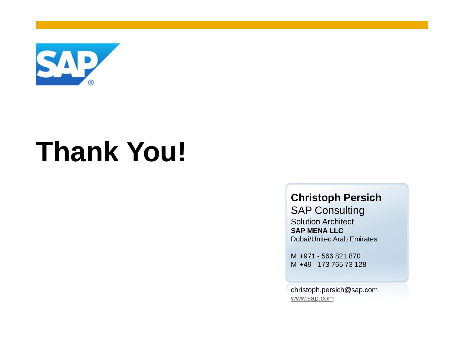

# **Thank You!**

# **Christoph Persich**

SAP Consulting Solution Architect **SAP MENA LLC** Dubai/United Arab Emirates

M +971 - 566 821 870 M +49 - 173 765 73 128

christoph.persich@sap.com www.sap.com